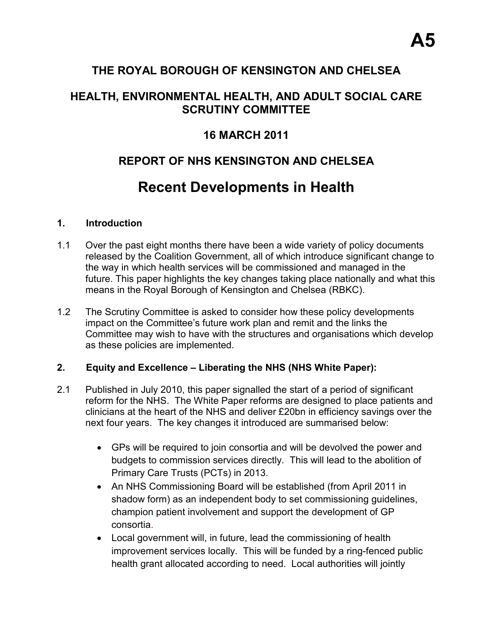## **THE ROYAL BOROUGH OF KENSINGTON AND CHELSEA**

## **HEALTH, ENVIRONMENTAL HEALTH, AND ADULT SOCIAL CARE SCRUTINY COMMITTEE**

## **16 MARCH 2011**

# **REPORT OF NHS KENSINGTON AND CHELSEA**

# **Recent Developments in Health**

#### **1. Introduction**

- 1.1 Over the past eight months there have been a wide variety of policy documents released by the Coalition Government, all of which introduce significant change to the way in which health services will be commissioned and managed in the future. This paper highlights the key changes taking place nationally and what this means in the Royal Borough of Kensington and Chelsea (RBKC).
- 1.2 The Scrutiny Committee is asked to consider how these policy developments impact on the Committee's future work plan and remit and the links the Committee may wish to have with the structures and organisations which develop as these policies are implemented.

#### **2. Equity and Excellence – Liberating the NHS (NHS White Paper):**

- 2.1 Published in July 2010, this paper signalled the start of a period of significant reform for the NHS. The White Paper reforms are designed to place patients and clinicians at the heart of the NHS and deliver £20bn in efficiency savings over the next four years. The key changes it introduced are summarised below:
	- GPs will be required to join consortia and will be devolved the power and budgets to commission services directly. This will lead to the abolition of Primary Care Trusts (PCTs) in 2013.
	- An NHS Commissioning Board will be established (from April 2011 in shadow form) as an independent body to set commissioning guidelines, champion patient involvement and support the development of GP consortia.
	- Local government will, in future, lead the commissioning of health improvement services locally. This will be funded by a ring-fenced public health grant allocated according to need. Local authorities will jointly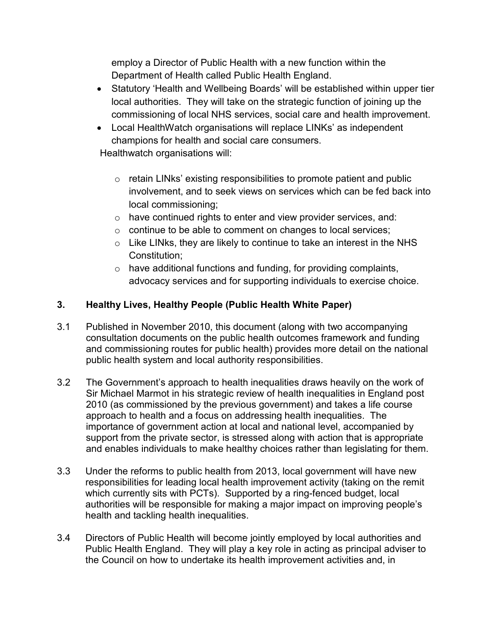employ a Director of Public Health with a new function within the Department of Health called Public Health England.

- Statutory 'Health and Wellbeing Boards' will be established within upper tier local authorities. They will take on the strategic function of joining up the commissioning of local NHS services, social care and health improvement.
- Local HealthWatch organisations will replace LINKs' as independent champions for health and social care consumers.

Healthwatch organisations will:

- $\circ$  retain LINks' existing responsibilities to promote patient and public involvement, and to seek views on services which can be fed back into local commissioning;
- $\circ$  have continued rights to enter and view provider services, and:
- $\circ$  continue to be able to comment on changes to local services;
- $\circ$  Like LINks, they are likely to continue to take an interest in the NHS Constitution;
- $\circ$  have additional functions and funding, for providing complaints, advocacy services and for supporting individuals to exercise choice.

### **3. Healthy Lives, Healthy People (Public Health White Paper)**

- 3.1 Published in November 2010, this document (along with two accompanying consultation documents on the public health outcomes framework and funding and commissioning routes for public health) provides more detail on the national public health system and local authority responsibilities.
- 3.2 The Government's approach to health inequalities draws heavily on the work of Sir Michael Marmot in his strategic review of health inequalities in England post 2010 (as commissioned by the previous government) and takes a life course approach to health and a focus on addressing health inequalities. The importance of government action at local and national level, accompanied by support from the private sector, is stressed along with action that is appropriate and enables individuals to make healthy choices rather than legislating for them.
- 3.3 Under the reforms to public health from 2013, local government will have new responsibilities for leading local health improvement activity (taking on the remit which currently sits with PCTs). Supported by a ring-fenced budget, local authorities will be responsible for making a major impact on improving people's health and tackling health inequalities.
- 3.4 Directors of Public Health will become jointly employed by local authorities and Public Health England. They will play a key role in acting as principal adviser to the Council on how to undertake its health improvement activities and, in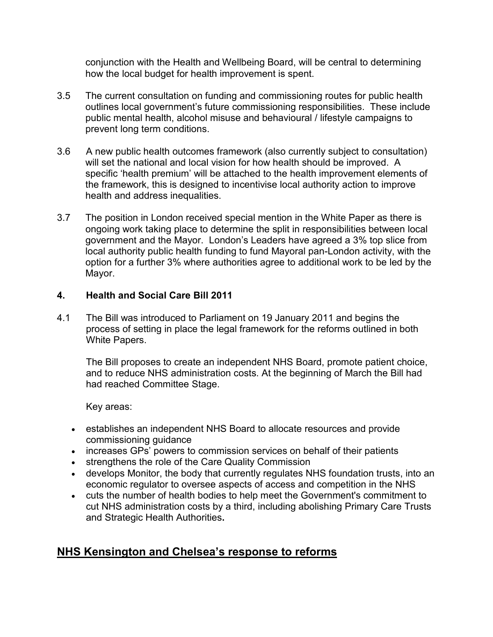conjunction with the Health and Wellbeing Board, will be central to determining how the local budget for health improvement is spent.

- 3.5 The current consultation on funding and commissioning routes for public health outlines local government's future commissioning responsibilities. These include public mental health, alcohol misuse and behavioural / lifestyle campaigns to prevent long term conditions.
- 3.6 A new public health outcomes framework (also currently subject to consultation) will set the national and local vision for how health should be improved. A specific 'health premium' will be attached to the health improvement elements of the framework, this is designed to incentivise local authority action to improve health and address inequalities.
- 3.7 The position in London received special mention in the White Paper as there is ongoing work taking place to determine the split in responsibilities between local government and the Mayor. London's Leaders have agreed a 3% top slice from local authority public health funding to fund Mayoral pan-London activity, with the option for a further 3% where authorities agree to additional work to be led by the Mayor.

#### **4. Health and Social Care Bill 2011**

4.1 The Bill was introduced to Parliament on 19 January 2011 and begins the process of setting in place the legal framework for the reforms outlined in both White Papers.

The Bill proposes to create an independent NHS Board, promote patient choice, and to reduce NHS administration costs. At the beginning of March the Bill had had reached Committee Stage.

Key areas:

- establishes an independent NHS Board to allocate resources and provide commissioning guidance
- increases GPs' powers to commission services on behalf of their patients
- strengthens the role of the Care Quality Commission
- develops Monitor, the body that currently regulates NHS foundation trusts, into an economic regulator to oversee aspects of access and competition in the NHS
- cuts the number of health bodies to help meet the Government's commitment to cut NHS administration costs by a third, including abolishing Primary Care Trusts and Strategic Health Authorities**.**

## **NHS Kensington and Chelsea's response to reforms**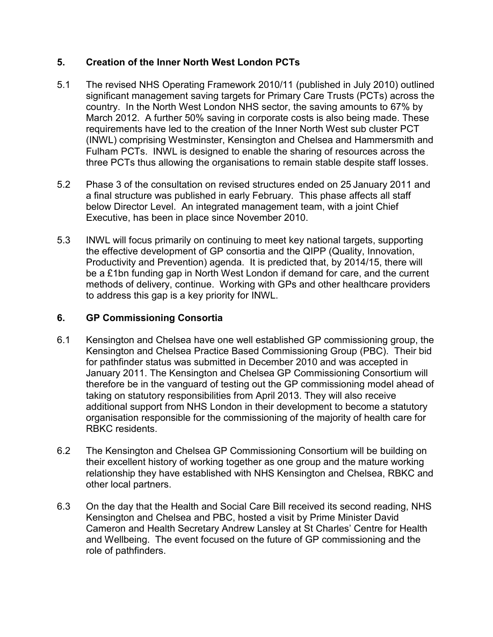#### **5. Creation of the Inner North West London PCTs**

- 5.1 The revised NHS Operating Framework 2010/11 (published in July 2010) outlined significant management saving targets for Primary Care Trusts (PCTs) across the country. In the North West London NHS sector, the saving amounts to 67% by March 2012. A further 50% saving in corporate costs is also being made. These requirements have led to the creation of the Inner North West sub cluster PCT (INWL) comprising Westminster, Kensington and Chelsea and Hammersmith and Fulham PCTs. INWL is designed to enable the sharing of resources across the three PCTs thus allowing the organisations to remain stable despite staff losses.
- 5.2 Phase 3 of the consultation on revised structures ended on 25 January 2011 and a final structure was published in early February. This phase affects all staff below Director Level. An integrated management team, with a joint Chief Executive, has been in place since November 2010.
- 5.3 INWL will focus primarily on continuing to meet key national targets, supporting the effective development of GP consortia and the QIPP (Quality, Innovation, Productivity and Prevention) agenda. It is predicted that, by 2014/15, there will be a £1bn funding gap in North West London if demand for care, and the current methods of delivery, continue. Working with GPs and other healthcare providers to address this gap is a key priority for INWL.

### **6. GP Commissioning Consortia**

- 6.1 Kensington and Chelsea have one well established GP commissioning group, the Kensington and Chelsea Practice Based Commissioning Group (PBC). Their bid for pathfinder status was submitted in December 2010 and was accepted in January 2011. The Kensington and Chelsea GP Commissioning Consortium will therefore be in the vanguard of testing out the GP commissioning model ahead of taking on statutory responsibilities from April 2013. They will also receive additional support from NHS London in their development to become a statutory organisation responsible for the commissioning of the majority of health care for RBKC residents.
- 6.2 The Kensington and Chelsea GP Commissioning Consortium will be building on their excellent history of working together as one group and the mature working relationship they have established with NHS Kensington and Chelsea, RBKC and other local partners.
- 6.3 On the day that the Health and Social Care Bill received its second reading, NHS Kensington and Chelsea and PBC, hosted a visit by Prime Minister David Cameron and Health Secretary Andrew Lansley at St Charles' Centre for Health and Wellbeing. The event focused on the future of GP commissioning and the role of pathfinders.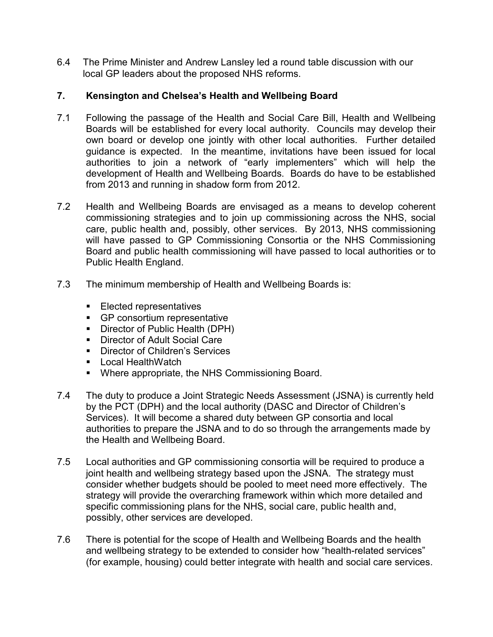6.4 The Prime Minister and Andrew Lansley led a round table discussion with our local GP leaders about the proposed NHS reforms.

#### **7. Kensington and Chelsea's Health and Wellbeing Board**

- 7.1 Following the passage of the Health and Social Care Bill, Health and Wellbeing Boards will be established for every local authority. Councils may develop their own board or develop one jointly with other local authorities. Further detailed guidance is expected. In the meantime, invitations have been issued for local authorities to join a network of "early implementers" which will help the development of Health and Wellbeing Boards. Boards do have to be established from 2013 and running in shadow form from 2012.
- 7.2 Health and Wellbeing Boards are envisaged as a means to develop coherent commissioning strategies and to join up commissioning across the NHS, social care, public health and, possibly, other services. By 2013, NHS commissioning will have passed to GP Commissioning Consortia or the NHS Commissioning Board and public health commissioning will have passed to local authorities or to Public Health England.
- 7.3 The minimum membership of Health and Wellbeing Boards is:
	- Elected representatives
	- GP consortium representative
	- Director of Public Health (DPH)
	- Director of Adult Social Care
	- Director of Children's Services
	- Local HealthWatch
	- § Where appropriate, the NHS Commissioning Board.
- 7.4 The duty to produce a Joint Strategic Needs Assessment (JSNA) is currently held by the PCT (DPH) and the local authority (DASC and Director of Children's Services). It will become a shared duty between GP consortia and local authorities to prepare the JSNA and to do so through the arrangements made by the Health and Wellbeing Board.
- 7.5 Local authorities and GP commissioning consortia will be required to produce a joint health and wellbeing strategy based upon the JSNA. The strategy must consider whether budgets should be pooled to meet need more effectively. The strategy will provide the overarching framework within which more detailed and specific commissioning plans for the NHS, social care, public health and, possibly, other services are developed.
- 7.6 There is potential for the scope of Health and Wellbeing Boards and the health and wellbeing strategy to be extended to consider how "health-related services" (for example, housing) could better integrate with health and social care services.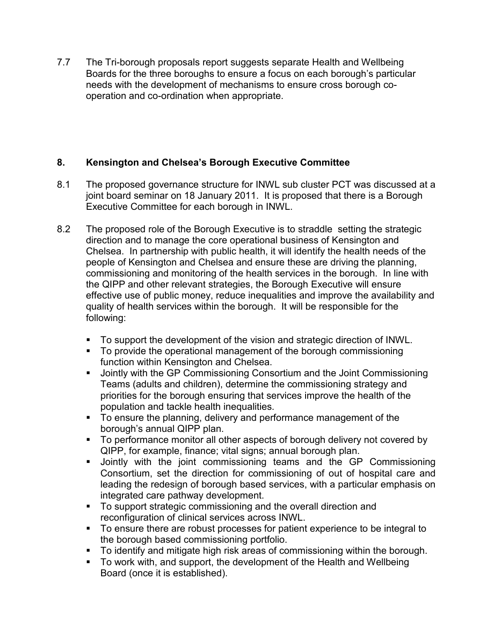7.7 The Tri-borough proposals report suggests separate Health and Wellbeing Boards for the three boroughs to ensure a focus on each borough's particular needs with the development of mechanisms to ensure cross borough cooperation and co-ordination when appropriate.

### **8. Kensington and Chelsea's Borough Executive Committee**

- 8.1 The proposed governance structure for INWL sub cluster PCT was discussed at a joint board seminar on 18 January 2011. It is proposed that there is a Borough Executive Committee for each borough in INWL.
- 8.2 The proposed role of the Borough Executive is to straddle setting the strategic direction and to manage the core operational business of Kensington and Chelsea. In partnership with public health, it will identify the health needs of the people of Kensington and Chelsea and ensure these are driving the planning, commissioning and monitoring of the health services in the borough. In line with the QIPP and other relevant strategies, the Borough Executive will ensure effective use of public money, reduce inequalities and improve the availability and quality of health services within the borough. It will be responsible for the following:
	- § To support the development of the vision and strategic direction of INWL.
	- § To provide the operational management of the borough commissioning function within Kensington and Chelsea.
	- Jointly with the GP Commissioning Consortium and the Joint Commissioning Teams (adults and children), determine the commissioning strategy and priorities for the borough ensuring that services improve the health of the population and tackle health inequalities.
	- § To ensure the planning, delivery and performance management of the borough's annual QIPP plan.
	- To performance monitor all other aspects of borough delivery not covered by QIPP, for example, finance; vital signs; annual borough plan.
	- Jointly with the joint commissioning teams and the GP Commissioning Consortium, set the direction for commissioning of out of hospital care and leading the redesign of borough based services, with a particular emphasis on integrated care pathway development.
	- To support strategic commissioning and the overall direction and reconfiguration of clinical services across INWL.
	- To ensure there are robust processes for patient experience to be integral to the borough based commissioning portfolio.
	- § To identify and mitigate high risk areas of commissioning within the borough.
	- § To work with, and support, the development of the Health and Wellbeing Board (once it is established).